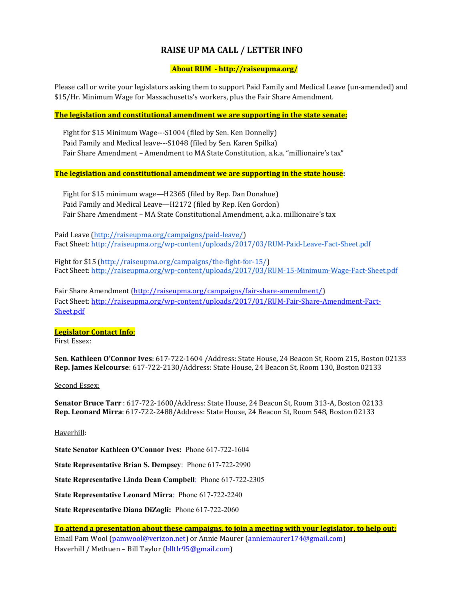# **RAISE UP MA CALL / LETTER INFO**

# **About RUM ‐ http://raiseupma.org/**

Please call or write your legislators asking them to support Paid Family and Medical Leave (un-amended) and \$15/Hr. Minimum Wage for Massachusetts's workers, plus the Fair Share Amendment.

# **The legislation and constitutional amendment we are supporting in the state senate:**

Fight for \$15 Minimum Wage---S1004 (filed by Sen. Ken Donnelly) Paid Family and Medical leave---S1048 (filed by Sen. Karen Spilka) Fair Share Amendment – Amendment to MA State Constitution, a.k.a. "millionaire's tax"

# **The legislation and constitutional amendment we are supporting in the state house:**

Fight for \$15 minimum wage—H2365 (filed by Rep. Dan Donahue) Paid Family and Medical Leave-H2172 (filed by Rep. Ken Gordon) Fair Share Amendment - MA State Constitutional Amendment, a.k.a. millionaire's tax

Paid Leave (http://raiseupma.org/campaigns/paid-leave/) Fact Sheet: http://raiseupma.org/wp-content/uploads/2017/03/RUM-Paid-Leave-Fact-Sheet.pdf

Fight for \$15 (http://raiseupma.org/campaigns/the-fight-for-15/) Fact Sheet: http://raiseupma.org/wp-content/uploads/2017/03/RUM-15-Minimum-Wage-Fact-Sheet.pdf

Fair Share Amendment (http://raiseupma.org/campaigns/fair-share-amendment/) Fact Sheet: http://raiseupma.org/wp-content/uploads/2017/01/RUM-Fair-Share-Amendment-Fact-Sheet.pdf

# **Legislator Contact Info**:

First Essex:

**Sen. Kathleen O'Connor Ives**: 617-722-1604 /Address: State House, 24 Beacon St, Room 215, Boston 02133 **Rep. James Kelcourse**: 617‐722‐2130/Address: State House, 24 Beacon St, Room 130, Boston 02133 

#### Second Essex:

**Senator Bruce Tarr** : 617‐722‐1600/Address: State House, 24 Beacon St, Room 313‐A, Boston 02133 **Rep. Leonard Mirra**: 617-722-2488/Address: State House, 24 Beacon St, Room 548, Boston 02133

#### Haverhill:

**State Senator Kathleen O'Connor Ives:** Phone 617-722-1604

**State Representative Brian S. Dempsey**: Phone 617-722-2990

**State Representative Linda Dean Campbell**: Phone 617-722-2305

**State Representative Leonard Mirra**: Phone 617-722-2240

**State Representative Diana DiZogli:** Phone 617-722-2060

**To attend a presentation about these campaigns, to join a meeting with your legislator, to help out:** Email Pam Wool (pamwool@verizon.net) or Annie Maurer (anniemaurer174@gmail.com) Haverhill / Methuen - Bill Taylor (blltlr95@gmail.com)